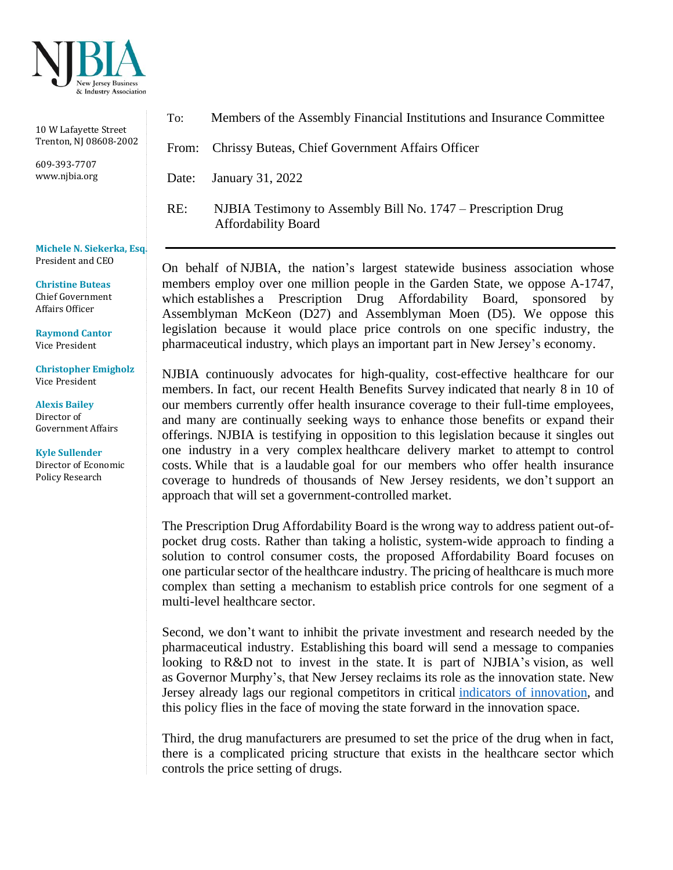

10 W Lafayette Street Trenton, NJ 08608-2002

609-393-7707 www.njbia.org

**Michele N. Siekerka, Esq.** President and CEO

**Christine Buteas** Chief Government Affairs Officer

**Raymond Cantor** Vice President

**Christopher Emigholz** Vice President

**Alexis Bailey**  Director of Government Affairs

**Kyle Sullender** Director of Economic Policy Research

To: Members of the Assembly Financial Institutions and Insurance Committee

From: Chrissy Buteas, Chief Government Affairs Officer

Date: January 31, 2022

RE: NJBIA Testimony to Assembly Bill No. 1747 – Prescription Drug Affordability Board

On behalf of NJBIA, the nation's largest statewide business association whose members employ over one million people in the Garden State, we oppose A-1747, which establishes a Prescription Drug Affordability Board, sponsored by Assemblyman McKeon (D27) and Assemblyman Moen (D5). We oppose this legislation because it would place price controls on one specific industry, the pharmaceutical industry, which plays an important part in New Jersey's economy.

NJBIA continuously advocates for high-quality, cost-effective healthcare for our members. In fact, our recent Health Benefits Survey indicated that nearly 8 in 10 of our members currently offer health insurance coverage to their full-time employees, and many are continually seeking ways to enhance those benefits or expand their offerings. NJBIA is testifying in opposition to this legislation because it singles out one industry in a very complex healthcare delivery market to attempt to control costs. While that is a laudable goal for our members who offer health insurance coverage to hundreds of thousands of New Jersey residents, we don't support an approach that will set a government-controlled market.

The Prescription Drug Affordability Board is the wrong way to address patient out-ofpocket drug costs. Rather than taking a holistic, system-wide approach to finding a solution to control consumer costs, the proposed Affordability Board focuses on one particularsector of the healthcare industry. The pricing of healthcare is much more complex than setting a mechanism to establish price controls for one segment of a multi-level healthcare sector.

Second, we don't want to inhibit the private investment and research needed by the pharmaceutical industry. Establishing this board will send a message to companies looking to R&D not to invest in the state. It is part of NJBIA's vision, as well as Governor Murphy's, that New Jersey reclaims its role as the innovation state. New Jersey already lags our regional competitors in critical indicators of [innovation,](https://njbia.org/wp-content/uploads/2016/05/2020-Indicators-of-Innovation-WEB.pdf) and this policy flies in the face of moving the state forward in the innovation space.

Third, the drug manufacturers are presumed to set the price of the drug when in fact, there is a complicated pricing structure that exists in the healthcare sector which controls the price setting of drugs.